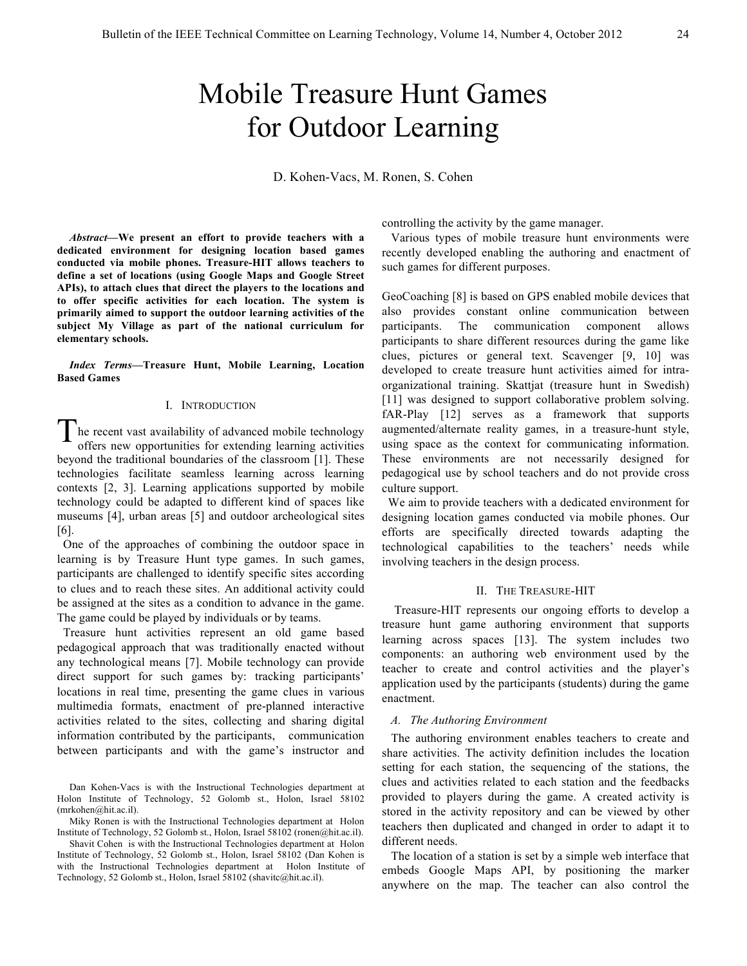# Mobile Treasure Hunt Games for Outdoor Learning

D. Kohen-Vacs, M. Ronen, S. Cohen

*Abstract***—We present an effort to provide teachers with a dedicated environment for designing location based games conducted via mobile phones. Treasure-HIT allows teachers to define a set of locations (using Google Maps and Google Street APIs), to attach clues that direct the players to the locations and to offer specific activities for each location. The system is primarily aimed to support the outdoor learning activities of the subject My Village as part of the national curriculum for elementary schools.** 

*Index Terms***—Treasure Hunt, Mobile Learning, Location Based Games**

## I. INTRODUCTION

he recent vast availability of advanced mobile technology offers new opportunities for extending learning activities beyond the traditional boundaries of the classroom [1]. These technologies facilitate seamless learning across learning contexts [2, 3]. Learning applications supported by mobile technology could be adapted to different kind of spaces like museums [4], urban areas [5] and outdoor archeological sites  $[6]$ . T

 One of the approaches of combining the outdoor space in learning is by Treasure Hunt type games. In such games, participants are challenged to identify specific sites according to clues and to reach these sites. An additional activity could be assigned at the sites as a condition to advance in the game. The game could be played by individuals or by teams.

 Treasure hunt activities represent an old game based pedagogical approach that was traditionally enacted without any technological means [7]. Mobile technology can provide direct support for such games by: tracking participants' locations in real time, presenting the game clues in various multimedia formats, enactment of pre-planned interactive activities related to the sites, collecting and sharing digital information contributed by the participants, communication between participants and with the game's instructor and

Dan Kohen-Vacs is with the Instructional Technologies department at Holon Institute of Technology, 52 Golomb st., Holon, Israel 58102 (mrkohen@hit.ac.il).

Miky Ronen is with the Instructional Technologies department at Holon Institute of Technology, 52 Golomb st., Holon, Israel 58102 (ronen@hit.ac.il).

Shavit Cohen is with the Instructional Technologies department at Holon Institute of Technology, 52 Golomb st., Holon, Israel 58102 (Dan Kohen is with the Instructional Technologies department at Holon Institute of Technology, 52 Golomb st., Holon, Israel 58102 (shavitc@hit.ac.il).

controlling the activity by the game manager.

 Various types of mobile treasure hunt environments were recently developed enabling the authoring and enactment of such games for different purposes.

GeoCoaching [8] is based on GPS enabled mobile devices that also provides constant online communication between participants. The communication component allows participants to share different resources during the game like clues, pictures or general text. Scavenger [9, 10] was developed to create treasure hunt activities aimed for intraorganizational training. Skattjat (treasure hunt in Swedish) [11] was designed to support collaborative problem solving. fAR-Play [12] serves as a framework that supports augmented/alternate reality games, in a treasure-hunt style, using space as the context for communicating information. These environments are not necessarily designed for pedagogical use by school teachers and do not provide cross culture support.

 We aim to provide teachers with a dedicated environment for designing location games conducted via mobile phones. Our efforts are specifically directed towards adapting the technological capabilities to the teachers' needs while involving teachers in the design process.

#### II. THE TREASURE-HIT

Treasure-HIT represents our ongoing efforts to develop a treasure hunt game authoring environment that supports learning across spaces [13]. The system includes two components: an authoring web environment used by the teacher to create and control activities and the player's application used by the participants (students) during the game enactment.

## *A. The Authoring Environment*

 The authoring environment enables teachers to create and share activities. The activity definition includes the location setting for each station, the sequencing of the stations, the clues and activities related to each station and the feedbacks provided to players during the game. A created activity is stored in the activity repository and can be viewed by other teachers then duplicated and changed in order to adapt it to different needs.

 The location of a station is set by a simple web interface that embeds Google Maps API, by positioning the marker anywhere on the map. The teacher can also control the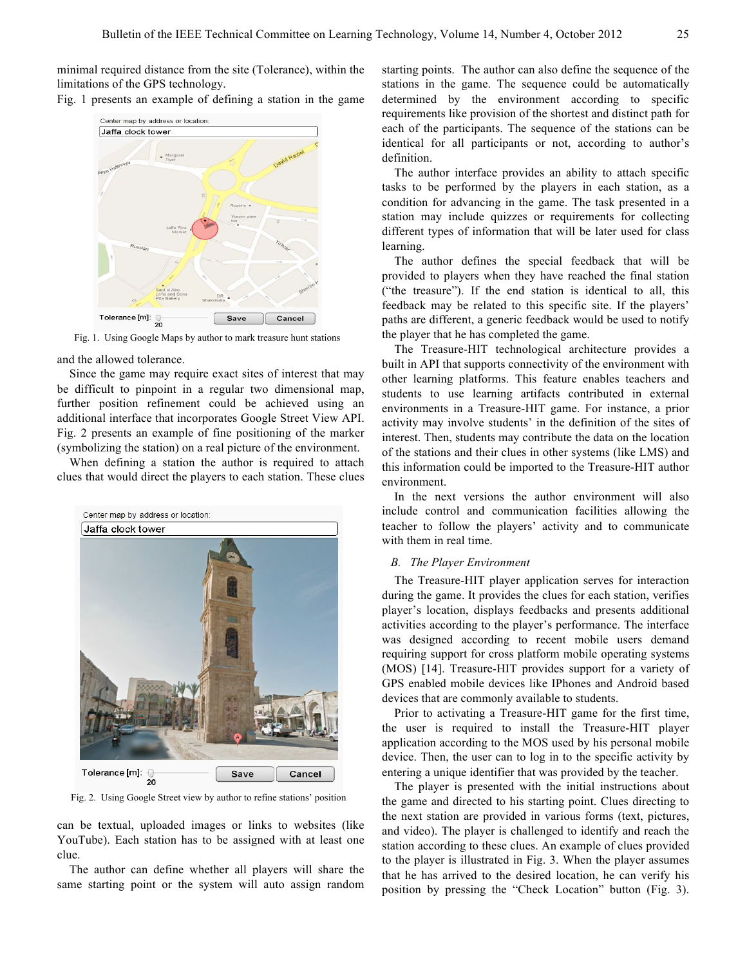minimal required distance from the site (Tolerance), within the limitations of the GPS technology.





Fig. 1. Using Google Maps by author to mark treasure hunt stations

and the allowed tolerance.

Since the game may require exact sites of interest that may be difficult to pinpoint in a regular two dimensional map, further position refinement could be achieved using an additional interface that incorporates Google Street View API. Fig. 2 presents an example of fine positioning of the marker (symbolizing the station) on a real picture of the environment.

When defining a station the author is required to attach clues that would direct the players to each station. These clues



Fig. 2. Using Google Street view by author to refine stations' position

can be textual, uploaded images or links to websites (like YouTube). Each station has to be assigned with at least one clue.

The author can define whether all players will share the same starting point or the system will auto assign random starting points. The author can also define the sequence of the stations in the game. The sequence could be automatically determined by the environment according to specific requirements like provision of the shortest and distinct path for each of the participants. The sequence of the stations can be identical for all participants or not, according to author's definition.

The author interface provides an ability to attach specific tasks to be performed by the players in each station, as a condition for advancing in the game. The task presented in a station may include quizzes or requirements for collecting different types of information that will be later used for class learning.

The author defines the special feedback that will be provided to players when they have reached the final station ("the treasure"). If the end station is identical to all, this feedback may be related to this specific site. If the players' paths are different, a generic feedback would be used to notify the player that he has completed the game.

The Treasure-HIT technological architecture provides a built in API that supports connectivity of the environment with other learning platforms. This feature enables teachers and students to use learning artifacts contributed in external environments in a Treasure-HIT game. For instance, a prior activity may involve students' in the definition of the sites of interest. Then, students may contribute the data on the location of the stations and their clues in other systems (like LMS) and this information could be imported to the Treasure-HIT author environment.

In the next versions the author environment will also include control and communication facilities allowing the teacher to follow the players' activity and to communicate with them in real time.

# *B. The Player Environment*

The Treasure-HIT player application serves for interaction during the game. It provides the clues for each station, verifies player's location, displays feedbacks and presents additional activities according to the player's performance. The interface was designed according to recent mobile users demand requiring support for cross platform mobile operating systems (MOS) [14]. Treasure-HIT provides support for a variety of GPS enabled mobile devices like IPhones and Android based devices that are commonly available to students.

Prior to activating a Treasure-HIT game for the first time, the user is required to install the Treasure-HIT player application according to the MOS used by his personal mobile device. Then, the user can to log in to the specific activity by entering a unique identifier that was provided by the teacher.

The player is presented with the initial instructions about the game and directed to his starting point. Clues directing to the next station are provided in various forms (text, pictures, and video). The player is challenged to identify and reach the station according to these clues. An example of clues provided to the player is illustrated in Fig. 3. When the player assumes that he has arrived to the desired location, he can verify his position by pressing the "Check Location" button (Fig. 3).